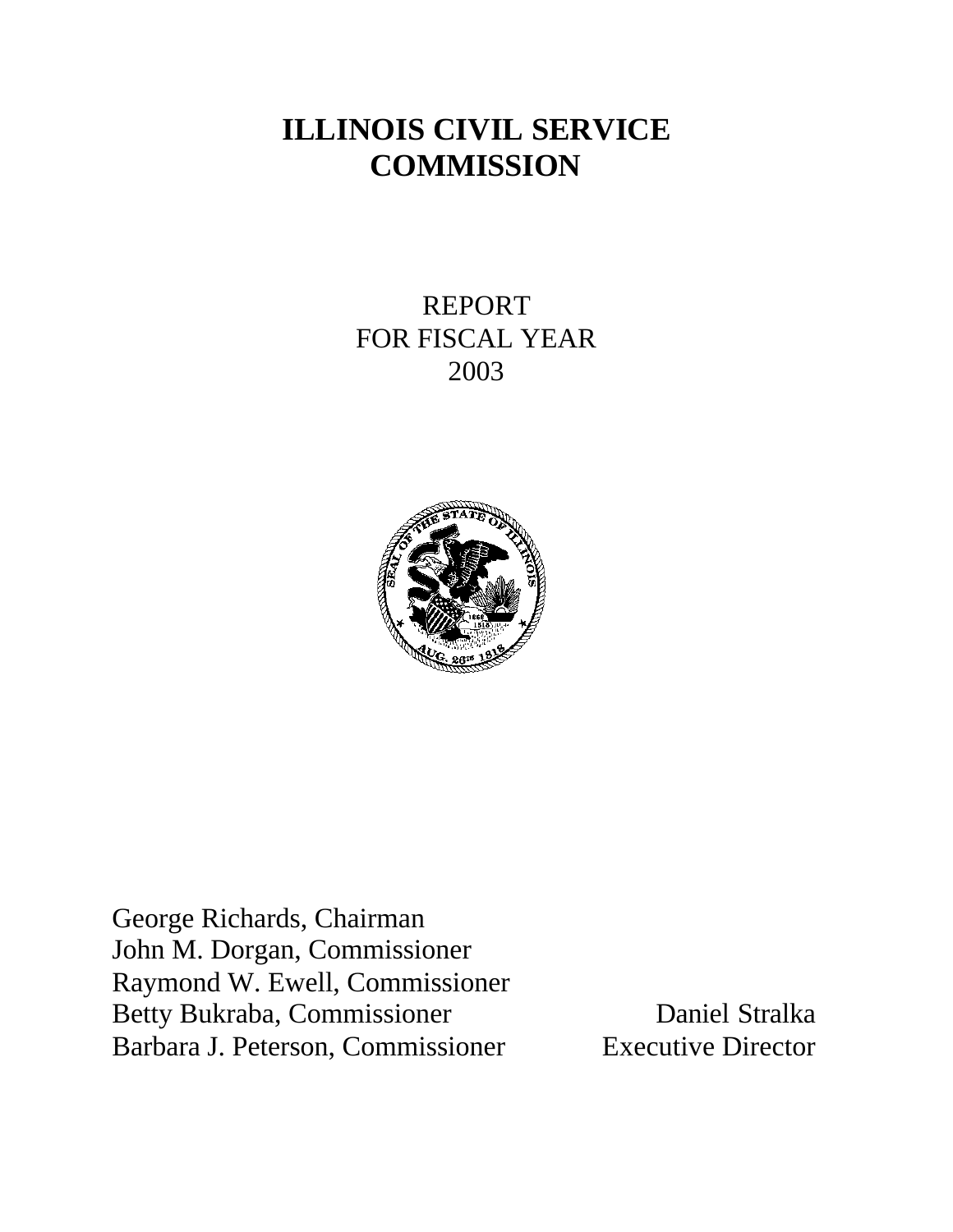# **ILLINOIS CIVIL SERVICE COMMISSION**

REPORT FOR FISCAL YEAR 2003



George Richards, Chairman John M. Dorgan, Commissioner Raymond W. Ewell, Commissioner Betty Bukraba, Commissioner Daniel Stralka Barbara J. Peterson, Commissioner Executive Director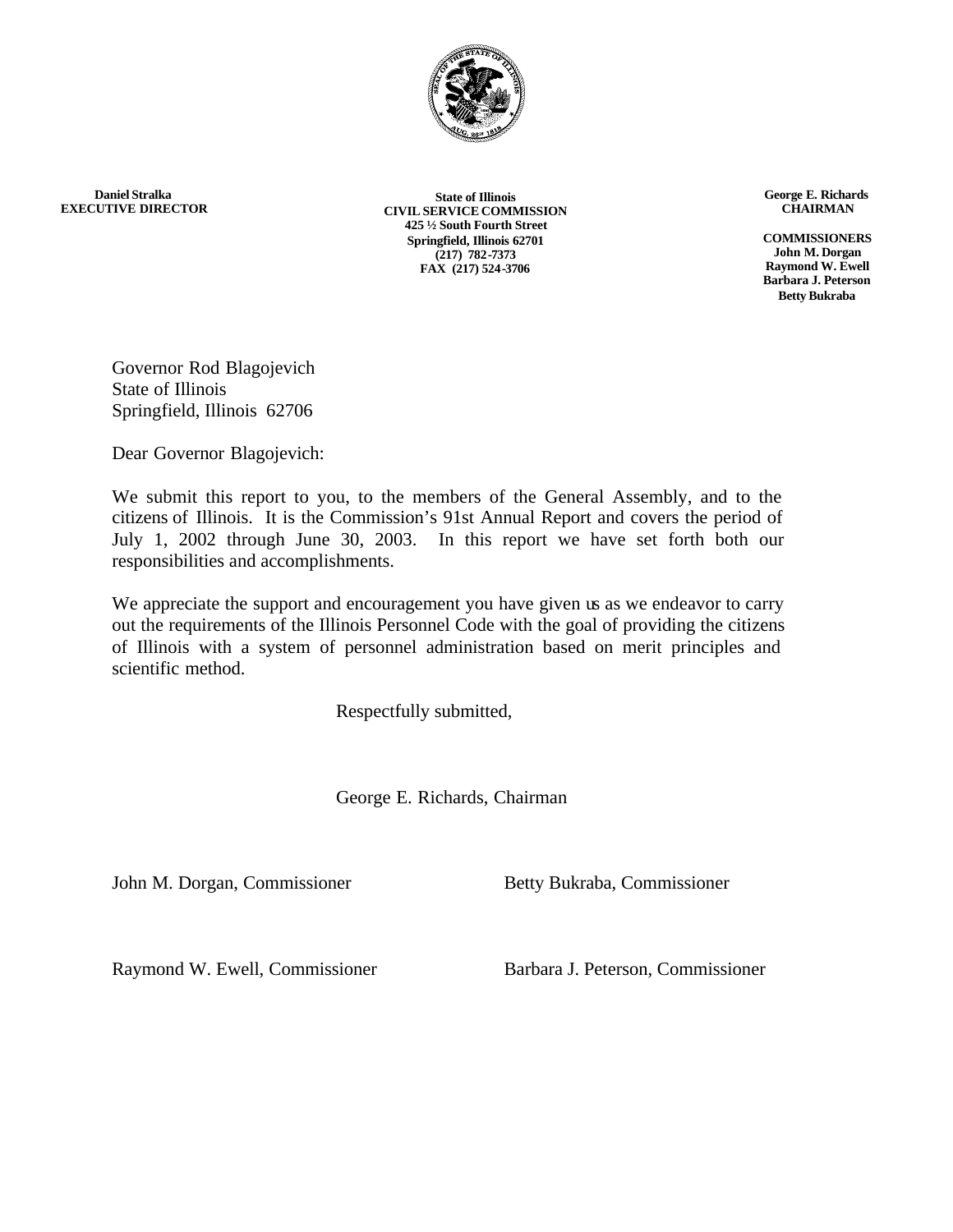

**Daniel Stralka EXECUTIVE DIRECTOR**

**State of Illinois CIVIL SERVICE COMMISSION 425 ½ South Fourth Street Springfield, Illinois 62701 (217) 782-7373 FAX (217) 524-3706**

**George E. Richards CHAIRMAN**

**COMMISSIONERS John M. Dorgan Raymond W. Ewell Barbara J. Peterson Betty Bukraba**

Governor Rod Blagojevich State of Illinois Springfield, Illinois 62706

Dear Governor Blagojevich:

We submit this report to you, to the members of the General Assembly, and to the citizens of Illinois. It is the Commission's 91st Annual Report and covers the period of July 1, 2002 through June 30, 2003. In this report we have set forth both our responsibilities and accomplishments.

We appreciate the support and encouragement you have given us as we endeavor to carry out the requirements of the Illinois Personnel Code with the goal of providing the citizens of Illinois with a system of personnel administration based on merit principles and scientific method.

Respectfully submitted,

George E. Richards, Chairman

John M. Dorgan, Commissioner Betty Bukraba, Commissioner

Raymond W. Ewell, Commissioner Barbara J. Peterson, Commissioner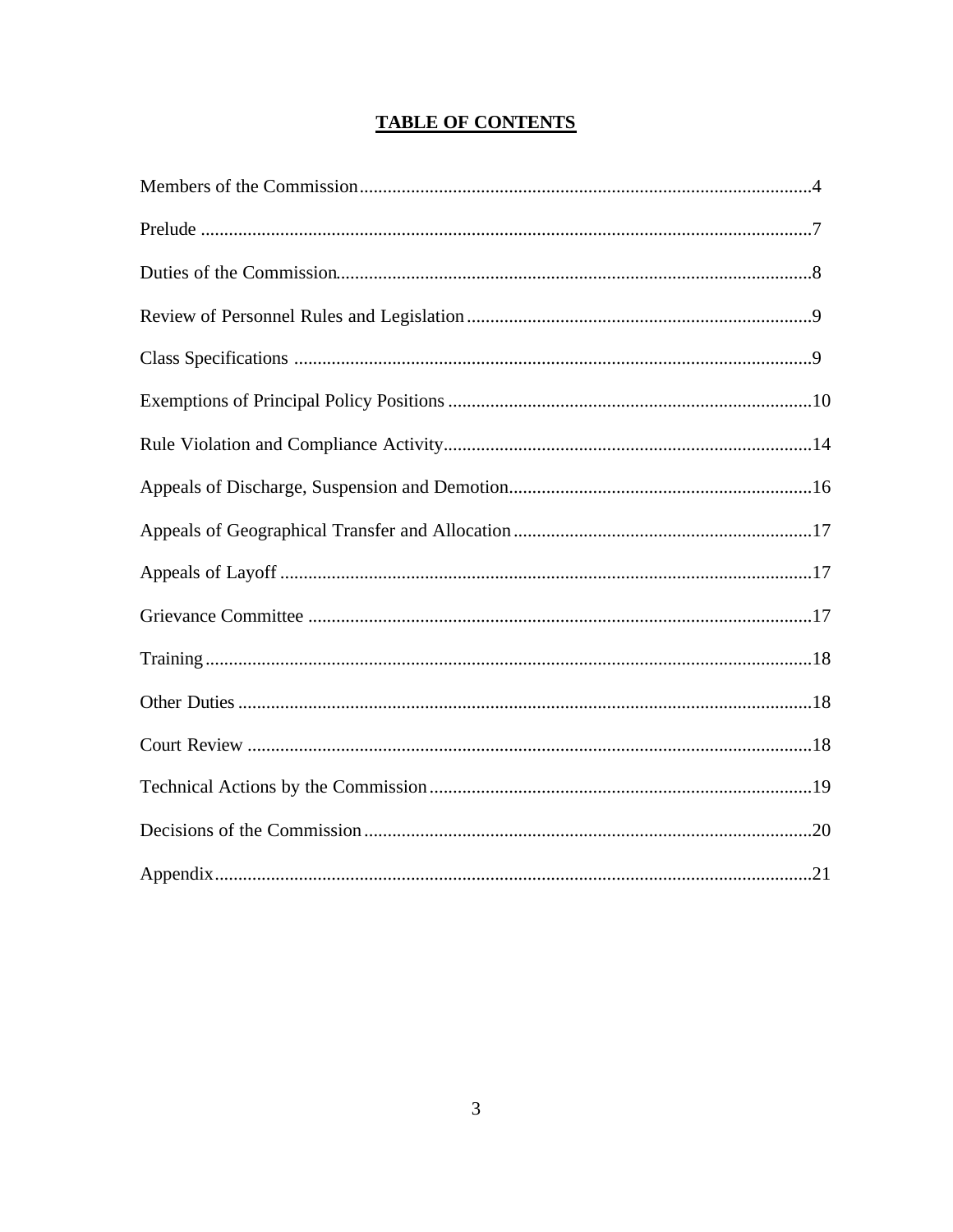# **TABLE OF CONTENTS**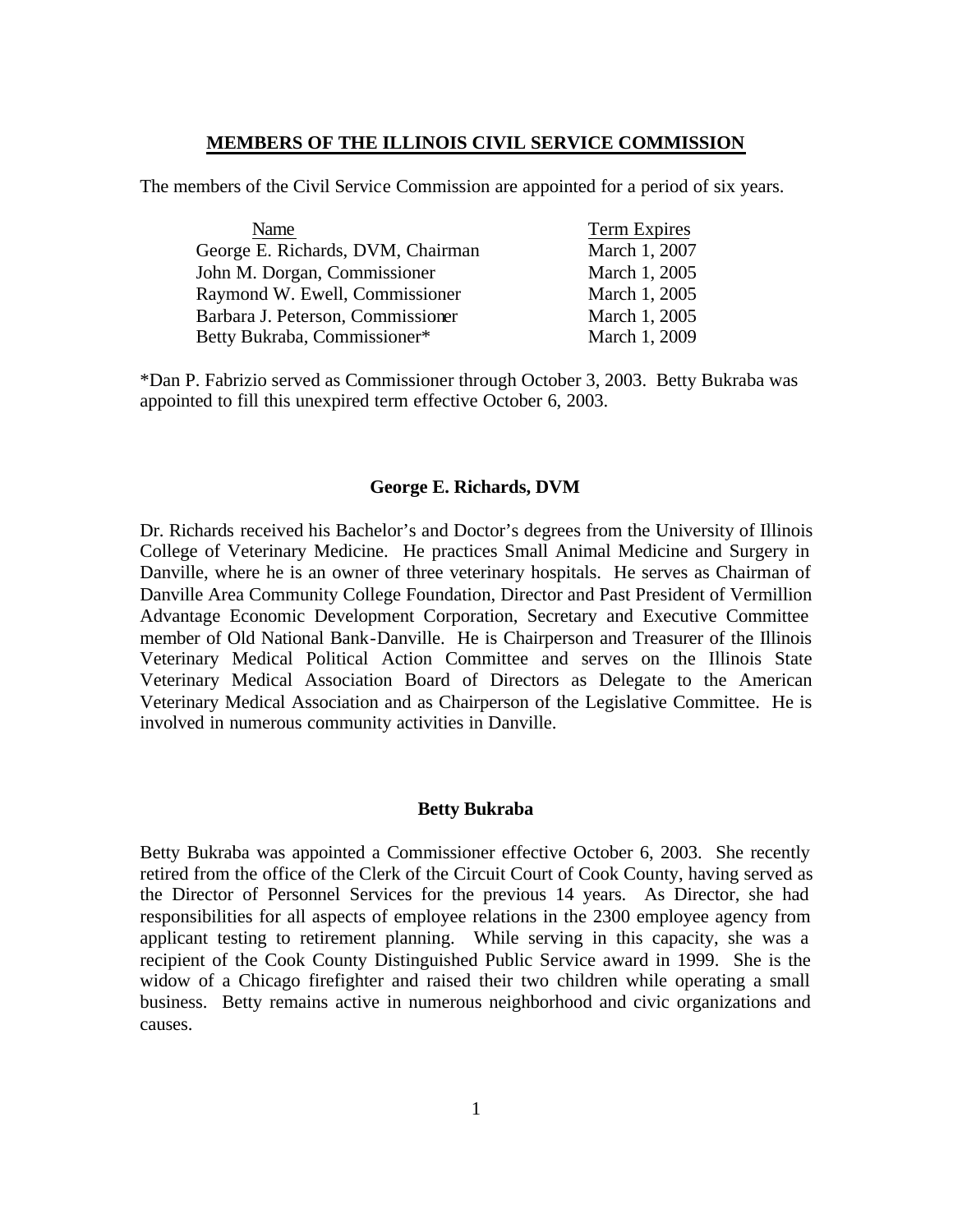### **MEMBERS OF THE ILLINOIS CIVIL SERVICE COMMISSION**

The members of the Civil Service Commission are appointed for a period of six years.

| Name                              | Term Expires  |
|-----------------------------------|---------------|
| George E. Richards, DVM, Chairman | March 1, 2007 |
| John M. Dorgan, Commissioner      | March 1, 2005 |
| Raymond W. Ewell, Commissioner    | March 1, 2005 |
| Barbara J. Peterson, Commissioner | March 1, 2005 |
| Betty Bukraba, Commissioner*      | March 1, 2009 |

\*Dan P. Fabrizio served as Commissioner through October 3, 2003. Betty Bukraba was appointed to fill this unexpired term effective October 6, 2003.

### **George E. Richards, DVM**

Dr. Richards received his Bachelor's and Doctor's degrees from the University of Illinois College of Veterinary Medicine. He practices Small Animal Medicine and Surgery in Danville, where he is an owner of three veterinary hospitals. He serves as Chairman of Danville Area Community College Foundation, Director and Past President of Vermillion Advantage Economic Development Corporation, Secretary and Executive Committee member of Old National Bank-Danville. He is Chairperson and Treasurer of the Illinois Veterinary Medical Political Action Committee and serves on the Illinois State Veterinary Medical Association Board of Directors as Delegate to the American Veterinary Medical Association and as Chairperson of the Legislative Committee. He is involved in numerous community activities in Danville.

### **Betty Bukraba**

Betty Bukraba was appointed a Commissioner effective October 6, 2003. She recently retired from the office of the Clerk of the Circuit Court of Cook County, having served as the Director of Personnel Services for the previous 14 years. As Director, she had responsibilities for all aspects of employee relations in the 2300 employee agency from applicant testing to retirement planning. While serving in this capacity, she was a recipient of the Cook County Distinguished Public Service award in 1999. She is the widow of a Chicago firefighter and raised their two children while operating a small business. Betty remains active in numerous neighborhood and civic organizations and causes.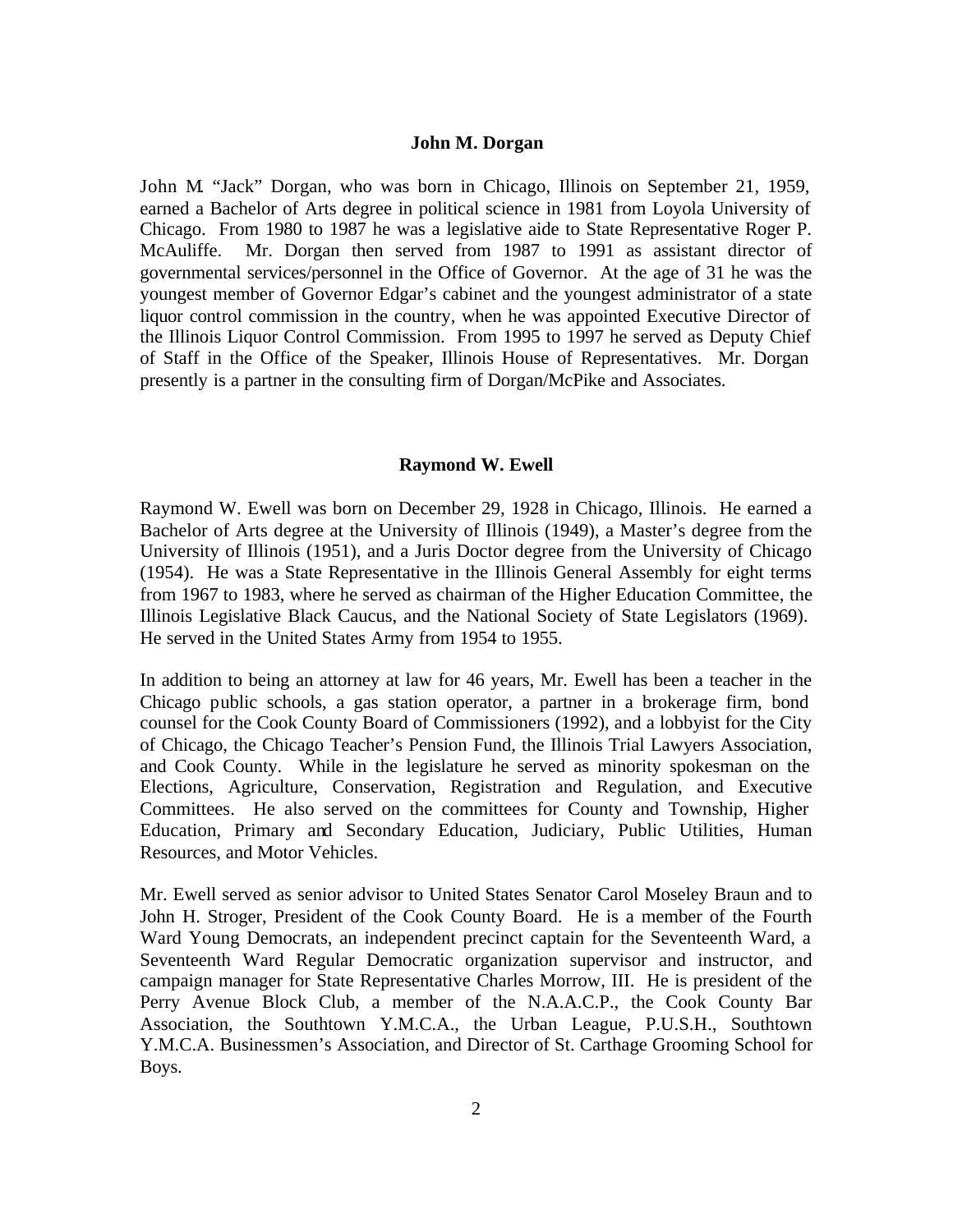### **John M. Dorgan**

John M. "Jack" Dorgan, who was born in Chicago, Illinois on September 21, 1959, earned a Bachelor of Arts degree in political science in 1981 from Loyola University of Chicago. From 1980 to 1987 he was a legislative aide to State Representative Roger P. McAuliffe. Mr. Dorgan then served from 1987 to 1991 as assistant director of governmental services/personnel in the Office of Governor. At the age of 31 he was the youngest member of Governor Edgar's cabinet and the youngest administrator of a state liquor control commission in the country, when he was appointed Executive Director of the Illinois Liquor Control Commission. From 1995 to 1997 he served as Deputy Chief of Staff in the Office of the Speaker, Illinois House of Representatives. Mr. Dorgan presently is a partner in the consulting firm of Dorgan/McPike and Associates.

### **Raymond W. Ewell**

Raymond W. Ewell was born on December 29, 1928 in Chicago, Illinois. He earned a Bachelor of Arts degree at the University of Illinois (1949), a Master's degree from the University of Illinois (1951), and a Juris Doctor degree from the University of Chicago (1954). He was a State Representative in the Illinois General Assembly for eight terms from 1967 to 1983, where he served as chairman of the Higher Education Committee, the Illinois Legislative Black Caucus, and the National Society of State Legislators (1969). He served in the United States Army from 1954 to 1955.

In addition to being an attorney at law for 46 years, Mr. Ewell has been a teacher in the Chicago public schools, a gas station operator, a partner in a brokerage firm, bond counsel for the Cook County Board of Commissioners (1992), and a lobbyist for the City of Chicago, the Chicago Teacher's Pension Fund, the Illinois Trial Lawyers Association, and Cook County. While in the legislature he served as minority spokesman on the Elections, Agriculture, Conservation, Registration and Regulation, and Executive Committees. He also served on the committees for County and Township, Higher Education, Primary and Secondary Education, Judiciary, Public Utilities, Human Resources, and Motor Vehicles.

Mr. Ewell served as senior advisor to United States Senator Carol Moseley Braun and to John H. Stroger, President of the Cook County Board. He is a member of the Fourth Ward Young Democrats, an independent precinct captain for the Seventeenth Ward, a Seventeenth Ward Regular Democratic organization supervisor and instructor, and campaign manager for State Representative Charles Morrow, III. He is president of the Perry Avenue Block Club, a member of the N.A.A.C.P., the Cook County Bar Association, the Southtown Y.M.C.A., the Urban League, P.U.S.H., Southtown Y.M.C.A. Businessmen's Association, and Director of St. Carthage Grooming School for Boys.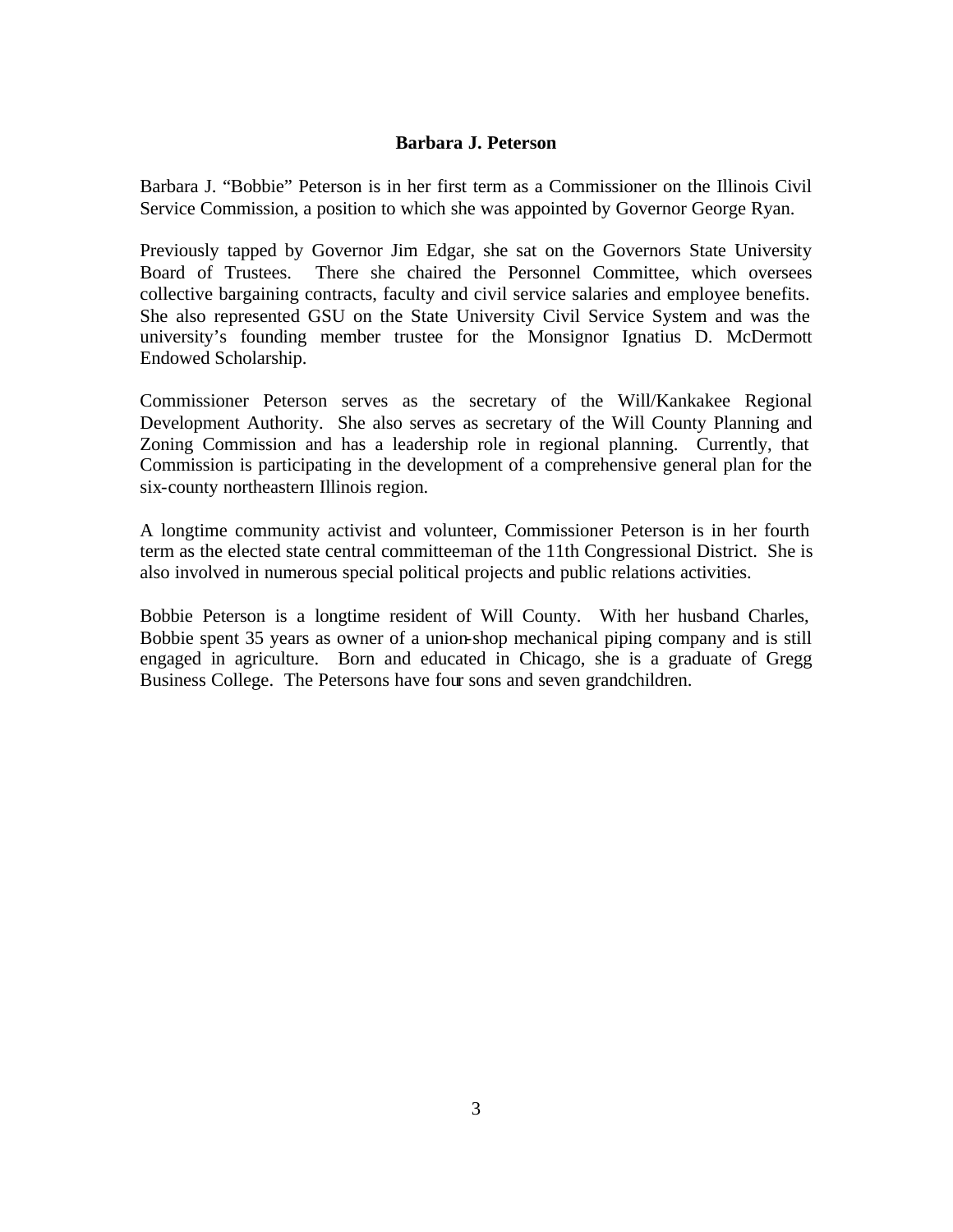### **Barbara J. Peterson**

Barbara J. "Bobbie" Peterson is in her first term as a Commissioner on the Illinois Civil Service Commission, a position to which she was appointed by Governor George Ryan.

Previously tapped by Governor Jim Edgar, she sat on the Governors State University Board of Trustees. There she chaired the Personnel Committee, which oversees collective bargaining contracts, faculty and civil service salaries and employee benefits. She also represented GSU on the State University Civil Service System and was the university's founding member trustee for the Monsignor Ignatius D. McDermott Endowed Scholarship.

Commissioner Peterson serves as the secretary of the Will/Kankakee Regional Development Authority. She also serves as secretary of the Will County Planning and Zoning Commission and has a leadership role in regional planning. Currently, that Commission is participating in the development of a comprehensive general plan for the six-county northeastern Illinois region.

A longtime community activist and volunteer, Commissioner Peterson is in her fourth term as the elected state central committeeman of the 11th Congressional District. She is also involved in numerous special political projects and public relations activities.

Bobbie Peterson is a longtime resident of Will County. With her husband Charles, Bobbie spent 35 years as owner of a union-shop mechanical piping company and is still engaged in agriculture. Born and educated in Chicago, she is a graduate of Gregg Business College. The Petersons have four sons and seven grandchildren.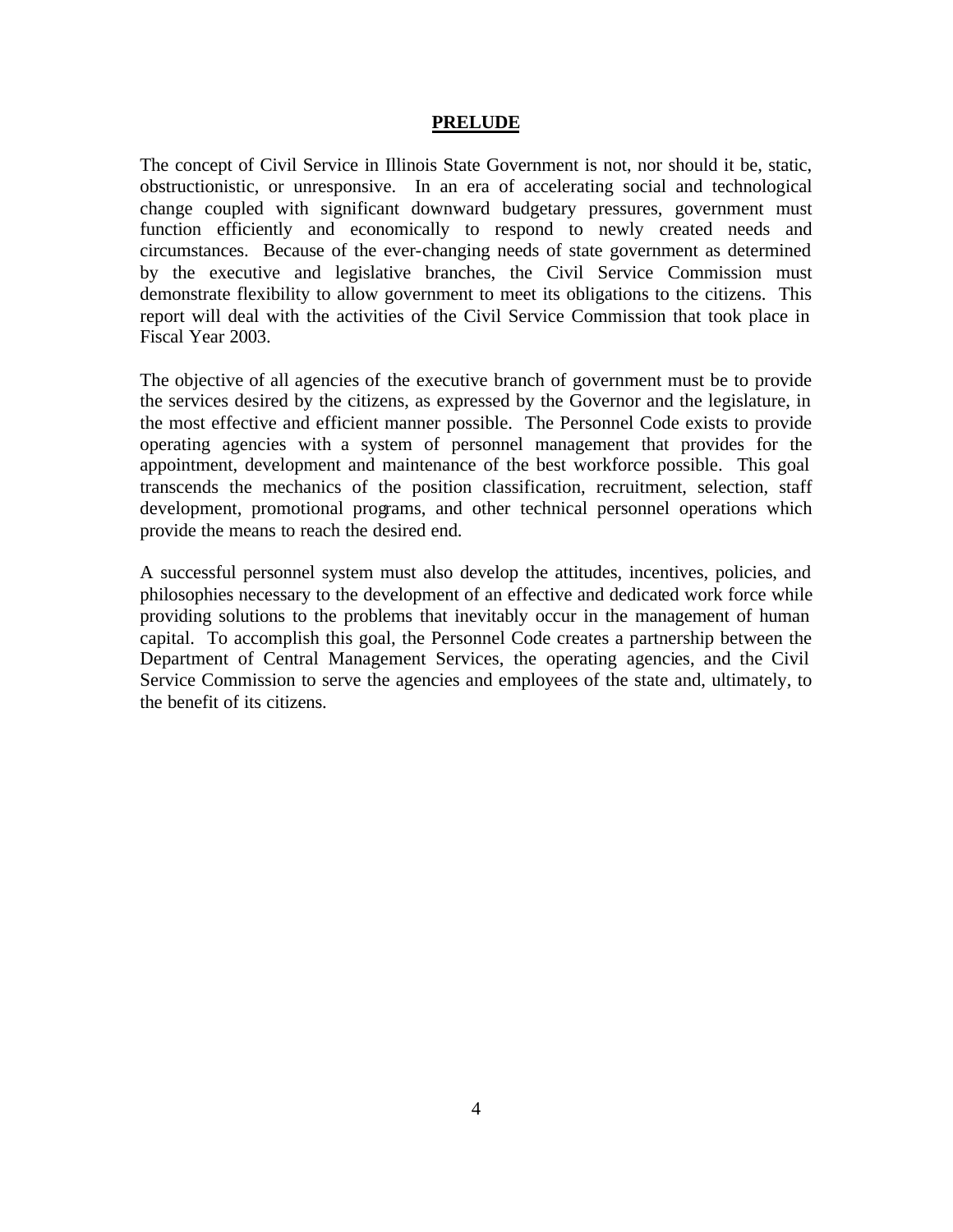### **PRELUDE**

The concept of Civil Service in Illinois State Government is not, nor should it be, static, obstructionistic, or unresponsive. In an era of accelerating social and technological change coupled with significant downward budgetary pressures, government must function efficiently and economically to respond to newly created needs and circumstances. Because of the ever-changing needs of state government as determined by the executive and legislative branches, the Civil Service Commission must demonstrate flexibility to allow government to meet its obligations to the citizens. This report will deal with the activities of the Civil Service Commission that took place in Fiscal Year 2003.

The objective of all agencies of the executive branch of government must be to provide the services desired by the citizens, as expressed by the Governor and the legislature, in the most effective and efficient manner possible. The Personnel Code exists to provide operating agencies with a system of personnel management that provides for the appointment, development and maintenance of the best workforce possible. This goal transcends the mechanics of the position classification, recruitment, selection, staff development, promotional programs, and other technical personnel operations which provide the means to reach the desired end.

A successful personnel system must also develop the attitudes, incentives, policies, and philosophies necessary to the development of an effective and dedicated work force while providing solutions to the problems that inevitably occur in the management of human capital. To accomplish this goal, the Personnel Code creates a partnership between the Department of Central Management Services, the operating agencies, and the Civil Service Commission to serve the agencies and employees of the state and, ultimately, to the benefit of its citizens.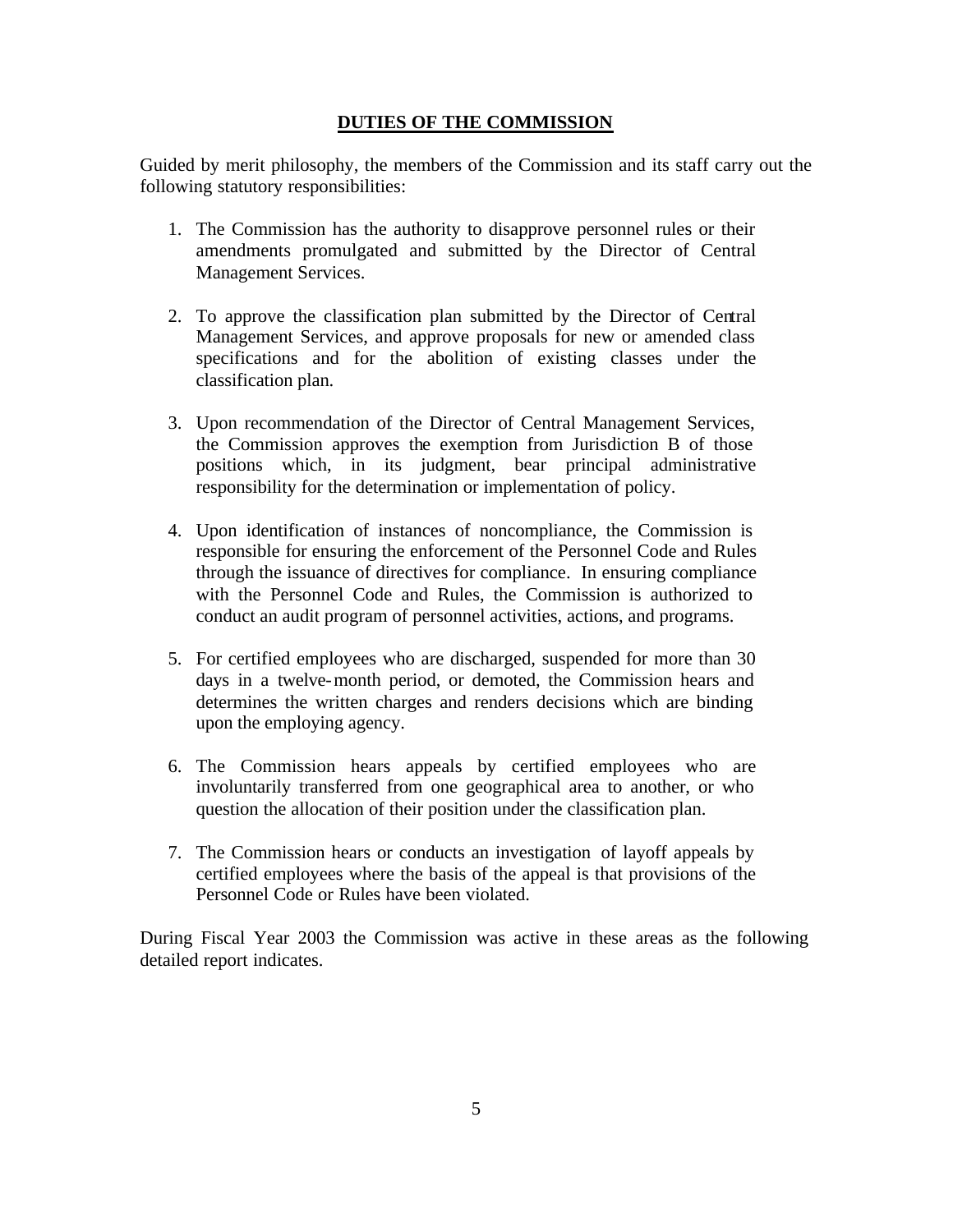### **DUTIES OF THE COMMISSION**

Guided by merit philosophy, the members of the Commission and its staff carry out the following statutory responsibilities:

- 1. The Commission has the authority to disapprove personnel rules or their amendments promulgated and submitted by the Director of Central Management Services.
- 2. To approve the classification plan submitted by the Director of Central Management Services, and approve proposals for new or amended class specifications and for the abolition of existing classes under the classification plan.
- 3. Upon recommendation of the Director of Central Management Services, the Commission approves the exemption from Jurisdiction B of those positions which, in its judgment, bear principal administrative responsibility for the determination or implementation of policy.
- 4. Upon identification of instances of noncompliance, the Commission is responsible for ensuring the enforcement of the Personnel Code and Rules through the issuance of directives for compliance. In ensuring compliance with the Personnel Code and Rules, the Commission is authorized to conduct an audit program of personnel activities, actions, and programs.
- 5. For certified employees who are discharged, suspended for more than 30 days in a twelve-month period, or demoted, the Commission hears and determines the written charges and renders decisions which are binding upon the employing agency.
- 6. The Commission hears appeals by certified employees who are involuntarily transferred from one geographical area to another, or who question the allocation of their position under the classification plan.
- 7. The Commission hears or conducts an investigation of layoff appeals by certified employees where the basis of the appeal is that provisions of the Personnel Code or Rules have been violated.

During Fiscal Year 2003 the Commission was active in these areas as the following detailed report indicates.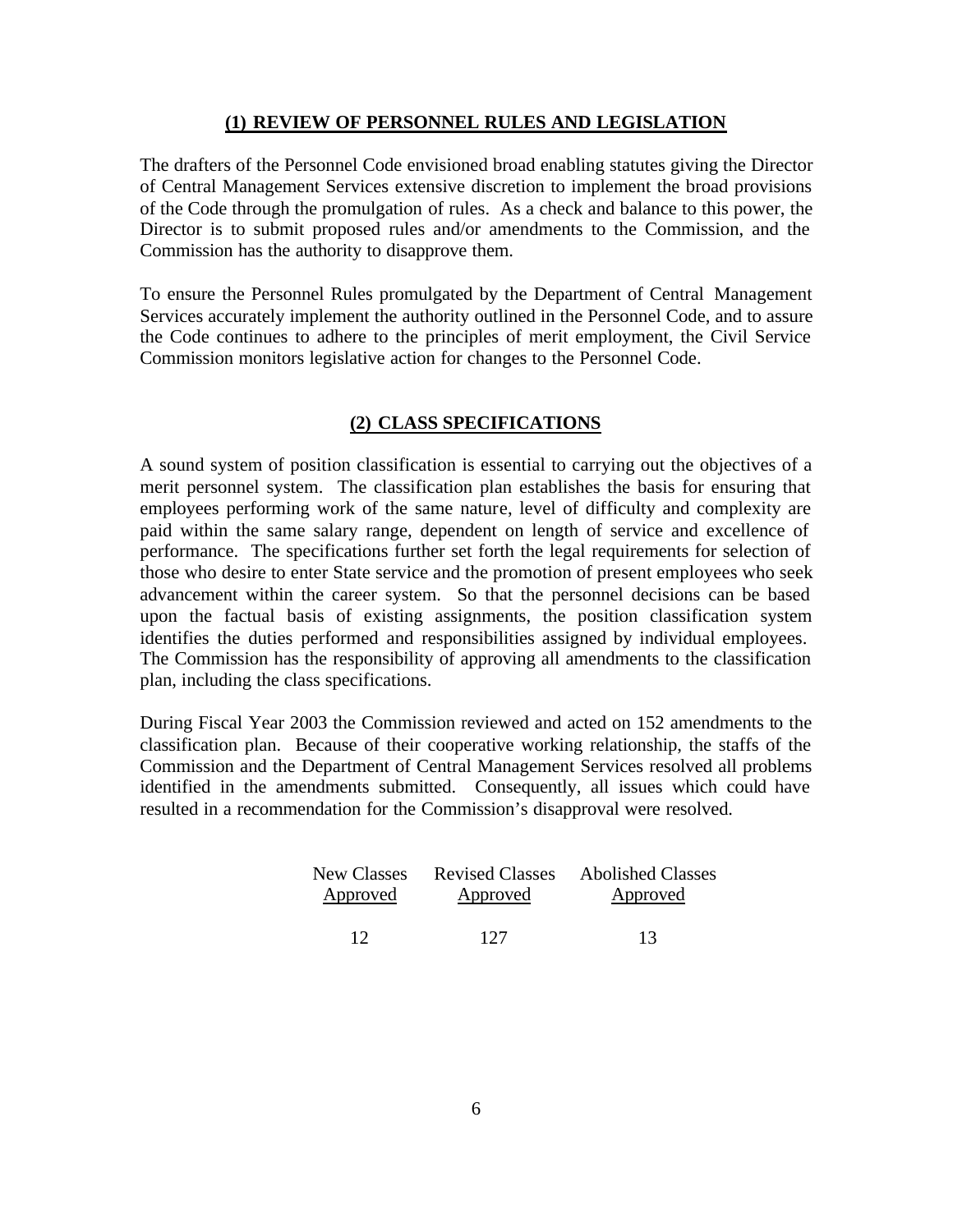### **(1) REVIEW OF PERSONNEL RULES AND LEGISLATION**

The drafters of the Personnel Code envisioned broad enabling statutes giving the Director of Central Management Services extensive discretion to implement the broad provisions of the Code through the promulgation of rules. As a check and balance to this power, the Director is to submit proposed rules and/or amendments to the Commission, and the Commission has the authority to disapprove them.

To ensure the Personnel Rules promulgated by the Department of Central Management Services accurately implement the authority outlined in the Personnel Code, and to assure the Code continues to adhere to the principles of merit employment, the Civil Service Commission monitors legislative action for changes to the Personnel Code.

## **(2) CLASS SPECIFICATIONS**

A sound system of position classification is essential to carrying out the objectives of a merit personnel system. The classification plan establishes the basis for ensuring that employees performing work of the same nature, level of difficulty and complexity are paid within the same salary range, dependent on length of service and excellence of performance. The specifications further set forth the legal requirements for selection of those who desire to enter State service and the promotion of present employees who seek advancement within the career system. So that the personnel decisions can be based upon the factual basis of existing assignments, the position classification system identifies the duties performed and responsibilities assigned by individual employees. The Commission has the responsibility of approving all amendments to the classification plan, including the class specifications.

During Fiscal Year 2003 the Commission reviewed and acted on 152 amendments to the classification plan. Because of their cooperative working relationship, the staffs of the Commission and the Department of Central Management Services resolved all problems identified in the amendments submitted. Consequently, all issues which could have resulted in a recommendation for the Commission's disapproval were resolved.

| New Classes | <b>Revised Classes</b> | <b>Abolished Classes</b> |
|-------------|------------------------|--------------------------|
| Approved    | Approved               | Approved                 |
|             |                        |                          |
| 12          | 127                    | 13                       |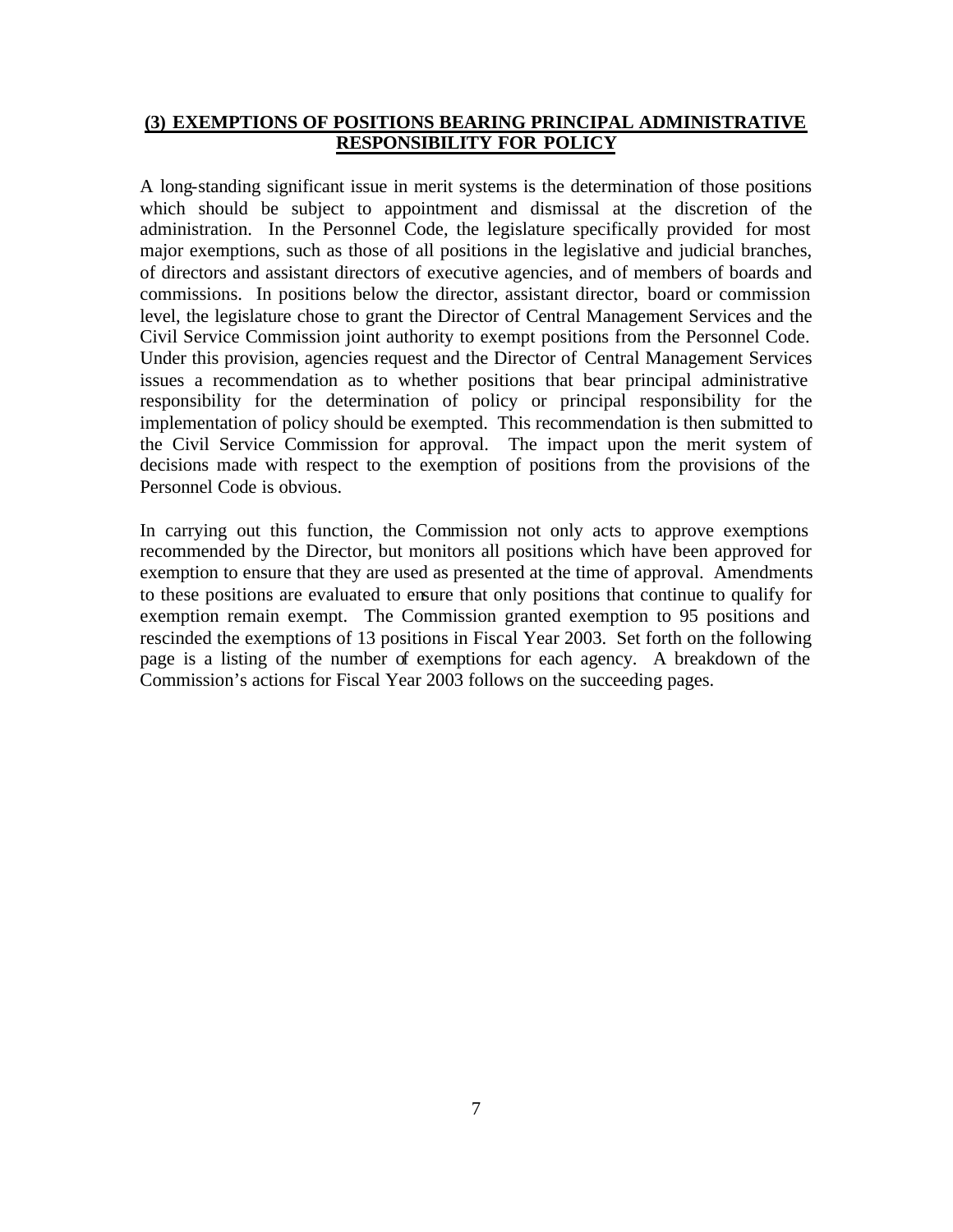### **(3) EXEMPTIONS OF POSITIONS BEARING PRINCIPAL ADMINISTRATIVE RESPONSIBILITY FOR POLICY**

A long-standing significant issue in merit systems is the determination of those positions which should be subject to appointment and dismissal at the discretion of the administration. In the Personnel Code, the legislature specifically provided for most major exemptions, such as those of all positions in the legislative and judicial branches, of directors and assistant directors of executive agencies, and of members of boards and commissions. In positions below the director, assistant director, board or commission level, the legislature chose to grant the Director of Central Management Services and the Civil Service Commission joint authority to exempt positions from the Personnel Code. Under this provision, agencies request and the Director of Central Management Services issues a recommendation as to whether positions that bear principal administrative responsibility for the determination of policy or principal responsibility for the implementation of policy should be exempted. This recommendation is then submitted to the Civil Service Commission for approval. The impact upon the merit system of decisions made with respect to the exemption of positions from the provisions of the Personnel Code is obvious.

In carrying out this function, the Commission not only acts to approve exemptions recommended by the Director, but monitors all positions which have been approved for exemption to ensure that they are used as presented at the time of approval. Amendments to these positions are evaluated to ensure that only positions that continue to qualify for exemption remain exempt. The Commission granted exemption to 95 positions and rescinded the exemptions of 13 positions in Fiscal Year 2003. Set forth on the following page is a listing of the number of exemptions for each agency. A breakdown of the Commission's actions for Fiscal Year 2003 follows on the succeeding pages.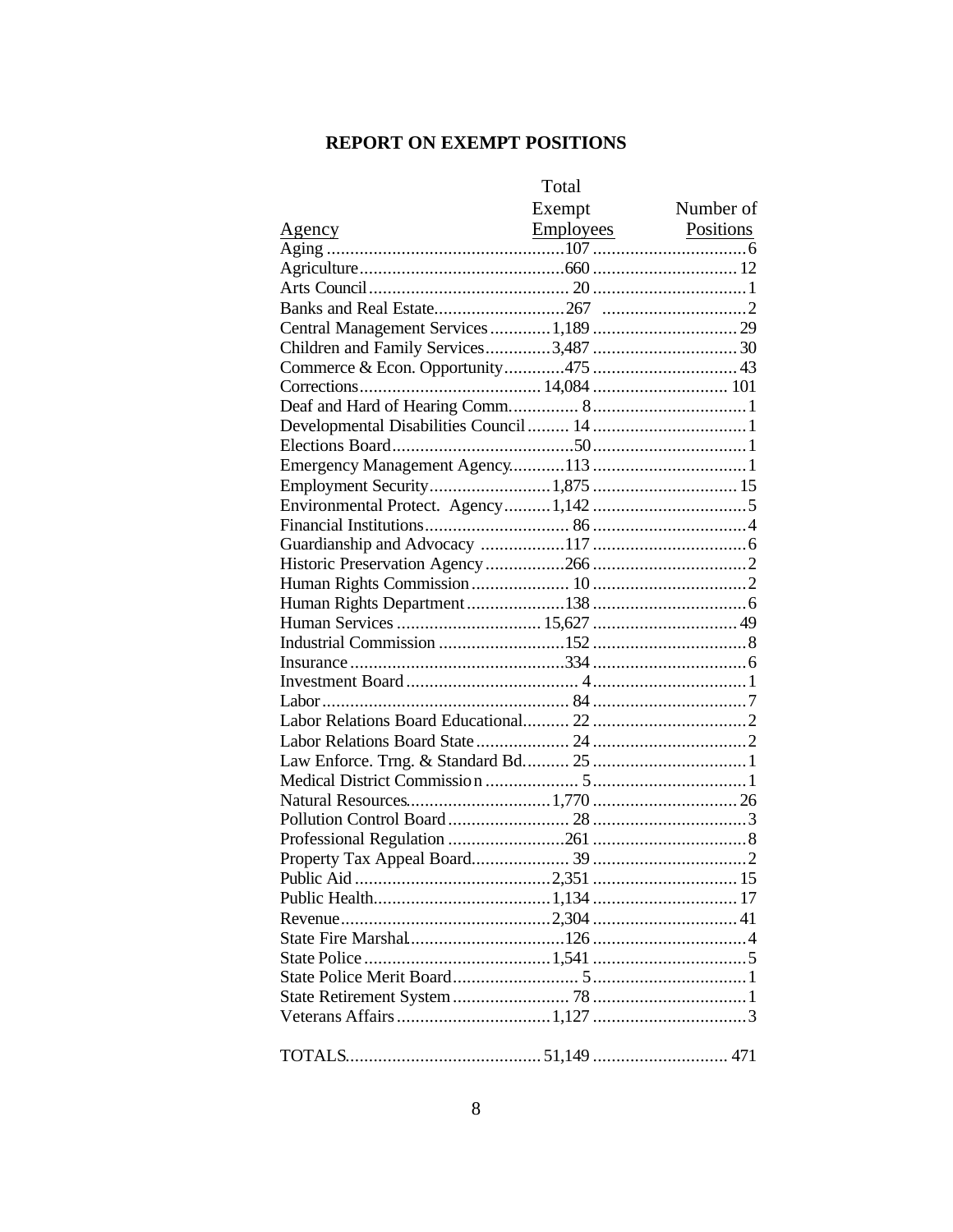# **REPORT ON EXEMPT POSITIONS**

|                                        | Total  |           |
|----------------------------------------|--------|-----------|
|                                        | Exempt | Number of |
|                                        |        |           |
|                                        |        |           |
|                                        |        |           |
|                                        |        |           |
|                                        |        |           |
| Central Management Services  1,189  29 |        |           |
|                                        |        |           |
|                                        |        |           |
|                                        |        |           |
|                                        |        |           |
|                                        |        |           |
|                                        |        |           |
|                                        |        |           |
|                                        |        |           |
|                                        |        |           |
|                                        |        |           |
|                                        |        |           |
|                                        |        |           |
|                                        |        |           |
|                                        |        |           |
|                                        |        |           |
|                                        |        |           |
|                                        |        |           |
|                                        |        |           |
|                                        |        |           |
|                                        |        |           |
|                                        |        |           |
|                                        |        |           |
|                                        |        |           |
|                                        |        |           |
|                                        |        |           |
|                                        |        |           |
|                                        |        |           |
|                                        |        |           |
|                                        |        |           |
|                                        |        |           |
|                                        |        |           |
|                                        |        |           |
|                                        |        |           |
|                                        |        |           |
|                                        |        |           |
|                                        |        |           |
|                                        |        |           |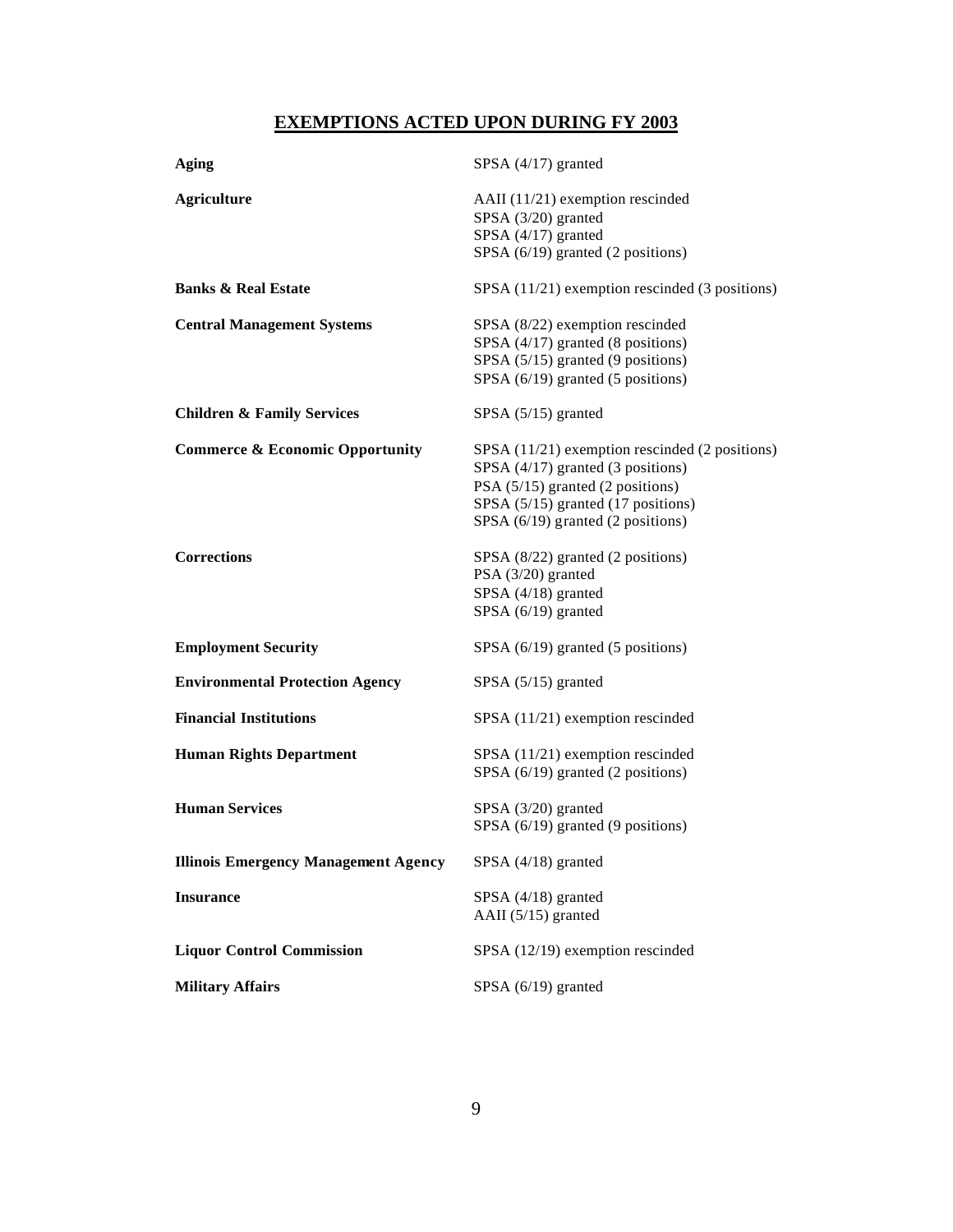# **EXEMPTIONS ACTED UPON DURING FY 2003**

| Aging                                       | SPSA $(4/17)$ granted                                                                                                                                                                              |
|---------------------------------------------|----------------------------------------------------------------------------------------------------------------------------------------------------------------------------------------------------|
| <b>Agriculture</b>                          | AAII $(11/21)$ exemption rescinded<br>SPSA (3/20) granted<br>SPSA (4/17) granted<br>SPSA (6/19) granted (2 positions)                                                                              |
| <b>Banks &amp; Real Estate</b>              | SPSA (11/21) exemption rescinded (3 positions)                                                                                                                                                     |
| <b>Central Management Systems</b>           | SPSA (8/22) exemption rescinded<br>SPSA (4/17) granted (8 positions)<br>SPSA (5/15) granted (9 positions)<br>SPSA (6/19) granted (5 positions)                                                     |
| <b>Children &amp; Family Services</b>       | SPSA $(5/15)$ granted                                                                                                                                                                              |
| <b>Commerce &amp; Economic Opportunity</b>  | SPSA (11/21) exemption rescinded (2 positions)<br>SPSA (4/17) granted (3 positions)<br>PSA (5/15) granted (2 positions)<br>SPSA (5/15) granted (17 positions)<br>SPSA (6/19) granted (2 positions) |
| <b>Corrections</b>                          | SPSA (8/22) granted (2 positions)<br>PSA (3/20) granted<br>SPSA (4/18) granted<br>SPSA (6/19) granted                                                                                              |
| <b>Employment Security</b>                  | SPSA $(6/19)$ granted $(5$ positions)                                                                                                                                                              |
| <b>Environmental Protection Agency</b>      | SPSA $(5/15)$ granted                                                                                                                                                                              |
| <b>Financial Institutions</b>               | $SPSA$ (11/21) exemption rescinded                                                                                                                                                                 |
| <b>Human Rights Department</b>              | $SPSA$ (11/21) exemption rescinded<br>SPSA (6/19) granted (2 positions)                                                                                                                            |
| <b>Human Services</b>                       | SPSA (3/20) granted<br>SPSA (6/19) granted (9 positions)                                                                                                                                           |
| <b>Illinois Emergency Management Agency</b> | SPSA $(4/18)$ granted                                                                                                                                                                              |
| <b>Insurance</b>                            | SPSA (4/18) granted<br>AAII (5/15) granted                                                                                                                                                         |
| <b>Liquor Control Commission</b>            | SPSA (12/19) exemption rescinded                                                                                                                                                                   |
| <b>Military Affairs</b>                     | SPSA $(6/19)$ granted                                                                                                                                                                              |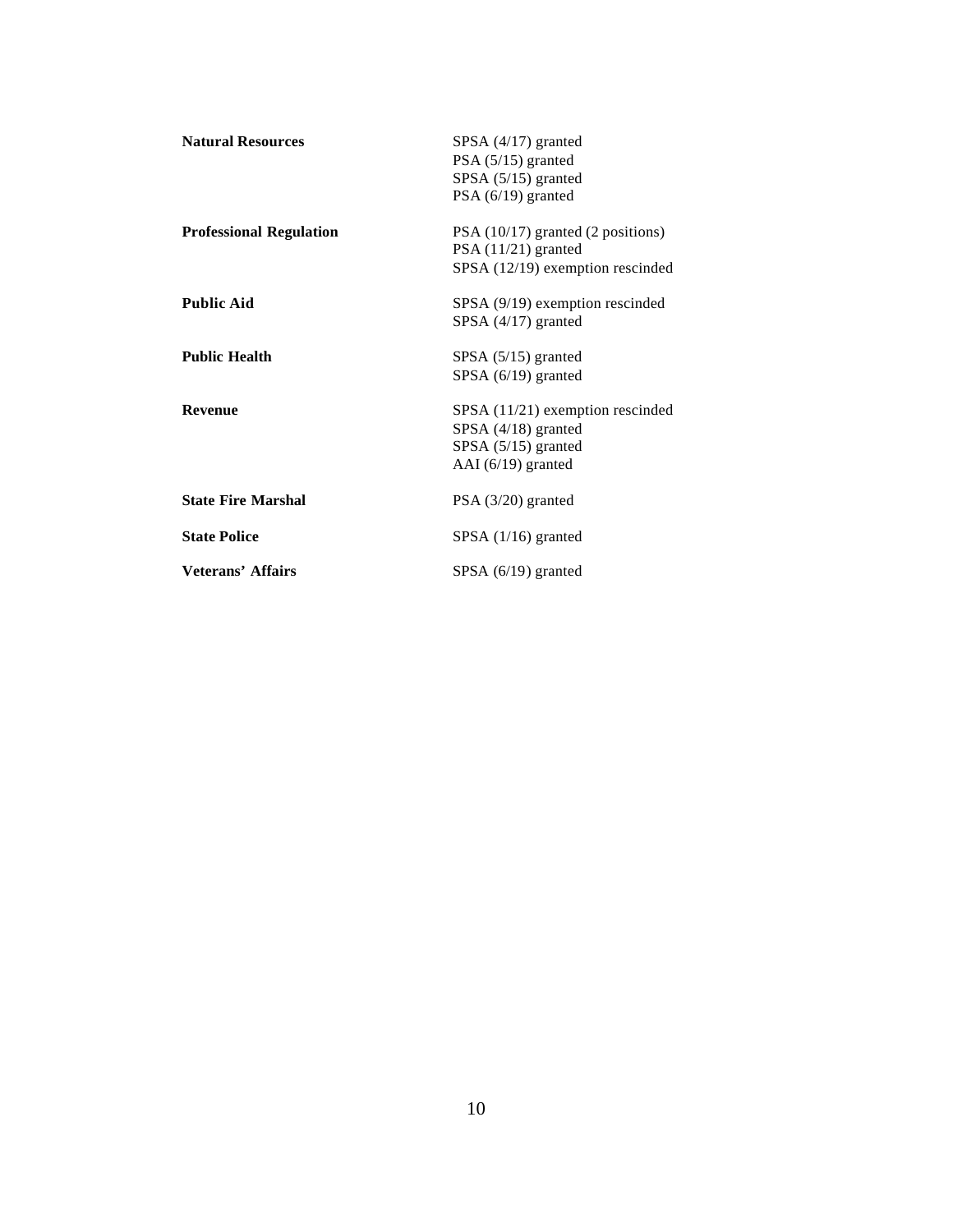| <b>Natural Resources</b>       | SPSA $(4/17)$ granted<br>PSA (5/15) granted<br>SPSA (5/15) granted<br>PSA $(6/19)$ granted               |
|--------------------------------|----------------------------------------------------------------------------------------------------------|
| <b>Professional Regulation</b> | $PSA (10/17)$ granted (2 positions)<br>$PSA(11/21)$ granted<br>SPSA (12/19) exemption rescinded          |
| <b>Public Aid</b>              | SPSA (9/19) exemption rescinded<br>SPSA $(4/17)$ granted                                                 |
| <b>Public Health</b>           | SPSA $(5/15)$ granted<br>SPSA $(6/19)$ granted                                                           |
| Revenue                        | $SPSA$ (11/21) exemption rescinded<br>SPSA (4/18) granted<br>SPSA $(5/15)$ granted<br>AAI (6/19) granted |
| <b>State Fire Marshal</b>      | $PSA (3/20)$ granted                                                                                     |
| <b>State Police</b>            | $SPSA$ (1/16) granted                                                                                    |
| Veterans' Affairs              | SPSA $(6/19)$ granted                                                                                    |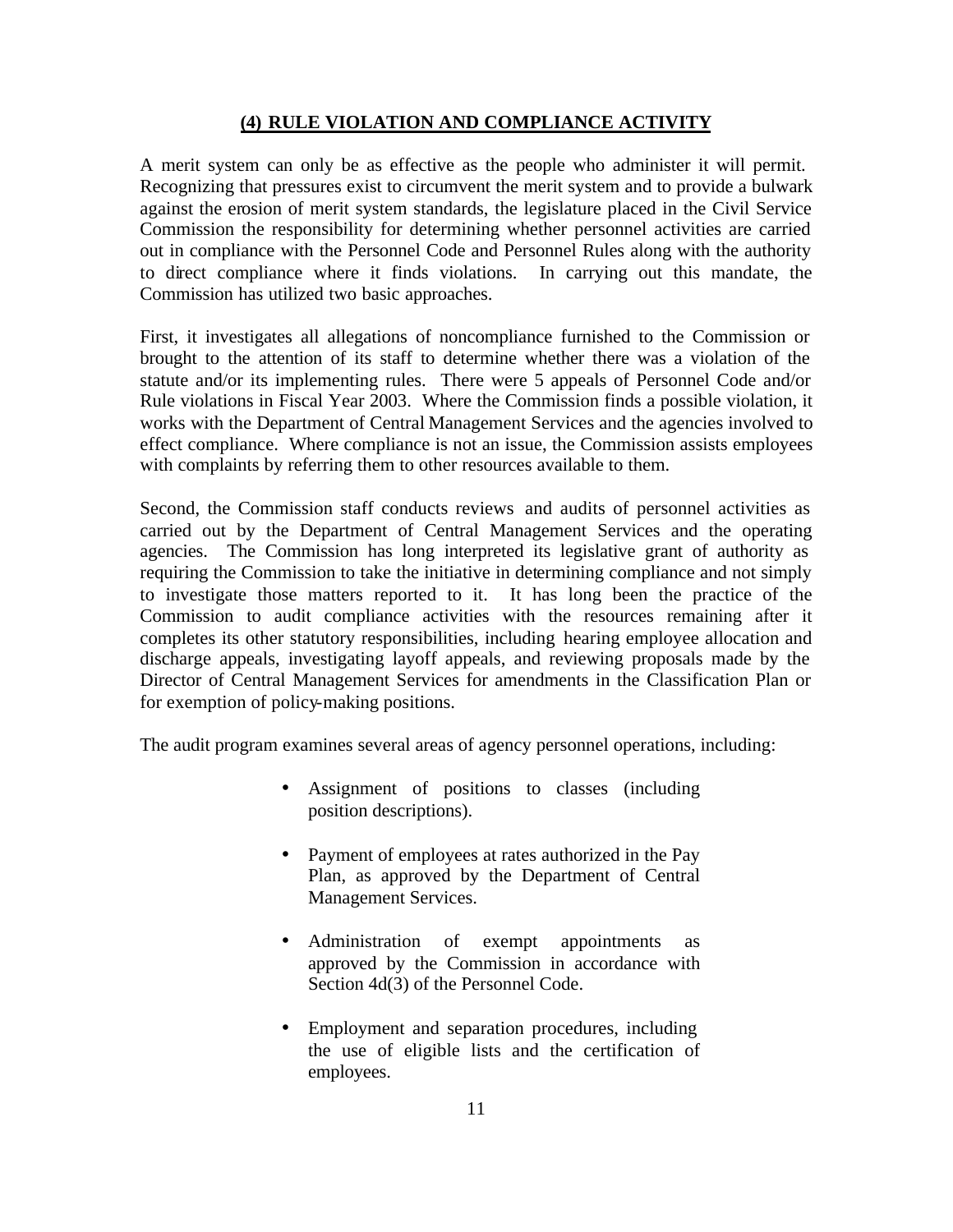### **(4) RULE VIOLATION AND COMPLIANCE ACTIVITY**

A merit system can only be as effective as the people who administer it will permit. Recognizing that pressures exist to circumvent the merit system and to provide a bulwark against the erosion of merit system standards, the legislature placed in the Civil Service Commission the responsibility for determining whether personnel activities are carried out in compliance with the Personnel Code and Personnel Rules along with the authority to direct compliance where it finds violations. In carrying out this mandate, the Commission has utilized two basic approaches.

First, it investigates all allegations of noncompliance furnished to the Commission or brought to the attention of its staff to determine whether there was a violation of the statute and/or its implementing rules. There were 5 appeals of Personnel Code and/or Rule violations in Fiscal Year 2003. Where the Commission finds a possible violation, it works with the Department of Central Management Services and the agencies involved to effect compliance. Where compliance is not an issue, the Commission assists employees with complaints by referring them to other resources available to them.

Second, the Commission staff conducts reviews and audits of personnel activities as carried out by the Department of Central Management Services and the operating agencies. The Commission has long interpreted its legislative grant of authority as requiring the Commission to take the initiative in determining compliance and not simply to investigate those matters reported to it. It has long been the practice of the Commission to audit compliance activities with the resources remaining after it completes its other statutory responsibilities, including hearing employee allocation and discharge appeals, investigating layoff appeals, and reviewing proposals made by the Director of Central Management Services for amendments in the Classification Plan or for exemption of policy-making positions.

The audit program examines several areas of agency personnel operations, including:

- Assignment of positions to classes (including position descriptions).
- Payment of employees at rates authorized in the Pay Plan, as approved by the Department of Central Management Services.
- Administration of exempt appointments as approved by the Commission in accordance with Section 4d(3) of the Personnel Code.
- Employment and separation procedures, including the use of eligible lists and the certification of employees.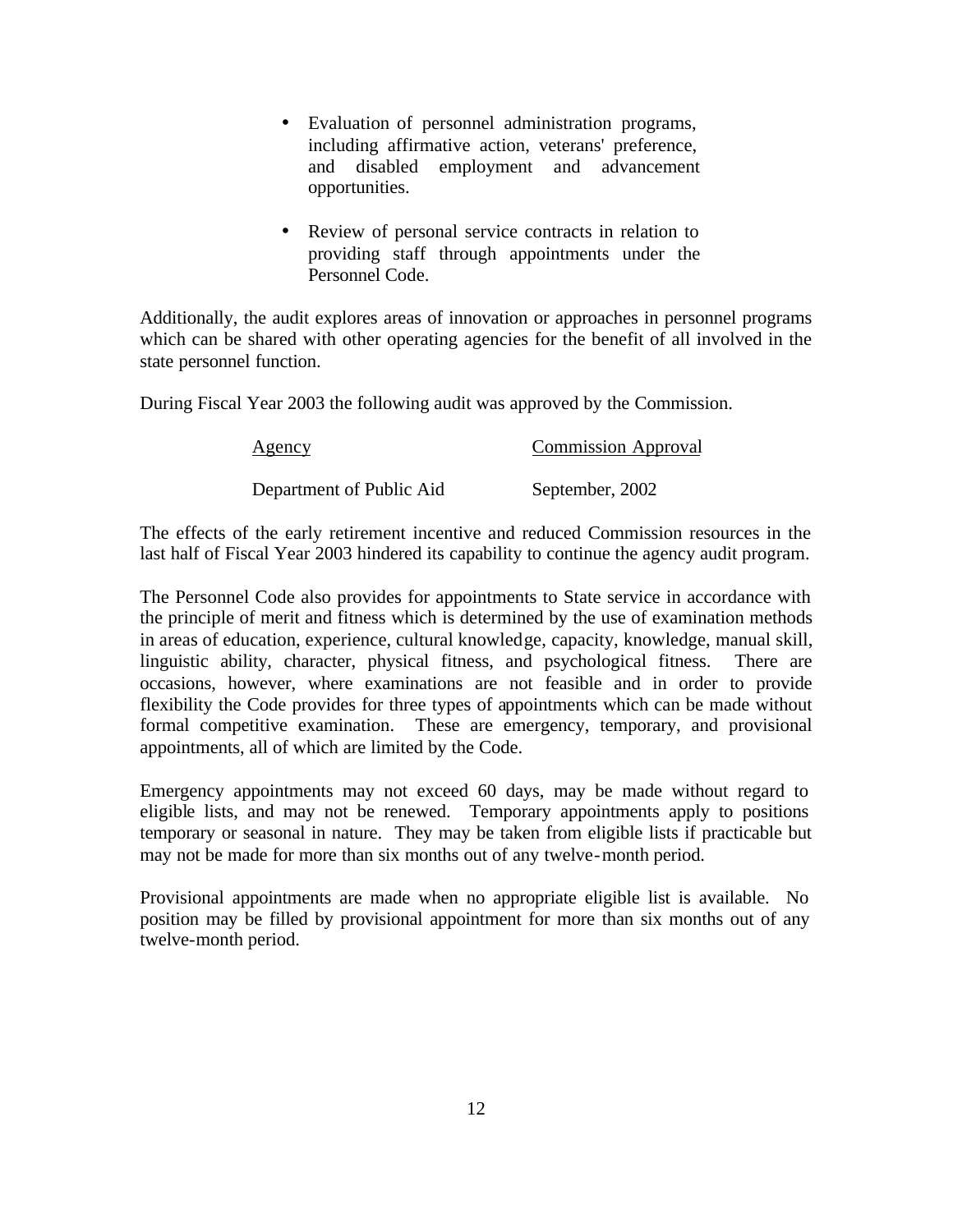- Evaluation of personnel administration programs, including affirmative action, veterans' preference, and disabled employment and advancement opportunities.
- Review of personal service contracts in relation to providing staff through appointments under the Personnel Code.

Additionally, the audit explores areas of innovation or approaches in personnel programs which can be shared with other operating agencies for the benefit of all involved in the state personnel function.

During Fiscal Year 2003 the following audit was approved by the Commission.

| Agency                   | <b>Commission Approval</b> |  |  |  |
|--------------------------|----------------------------|--|--|--|
| Department of Public Aid | September, 2002            |  |  |  |

The effects of the early retirement incentive and reduced Commission resources in the last half of Fiscal Year 2003 hindered its capability to continue the agency audit program.

The Personnel Code also provides for appointments to State service in accordance with the principle of merit and fitness which is determined by the use of examination methods in areas of education, experience, cultural knowledge, capacity, knowledge, manual skill, linguistic ability, character, physical fitness, and psychological fitness. There are occasions, however, where examinations are not feasible and in order to provide flexibility the Code provides for three types of appointments which can be made without formal competitive examination. These are emergency, temporary, and provisional appointments, all of which are limited by the Code.

Emergency appointments may not exceed 60 days, may be made without regard to eligible lists, and may not be renewed. Temporary appointments apply to positions temporary or seasonal in nature. They may be taken from eligible lists if practicable but may not be made for more than six months out of any twelve-month period.

Provisional appointments are made when no appropriate eligible list is available. No position may be filled by provisional appointment for more than six months out of any twelve-month period.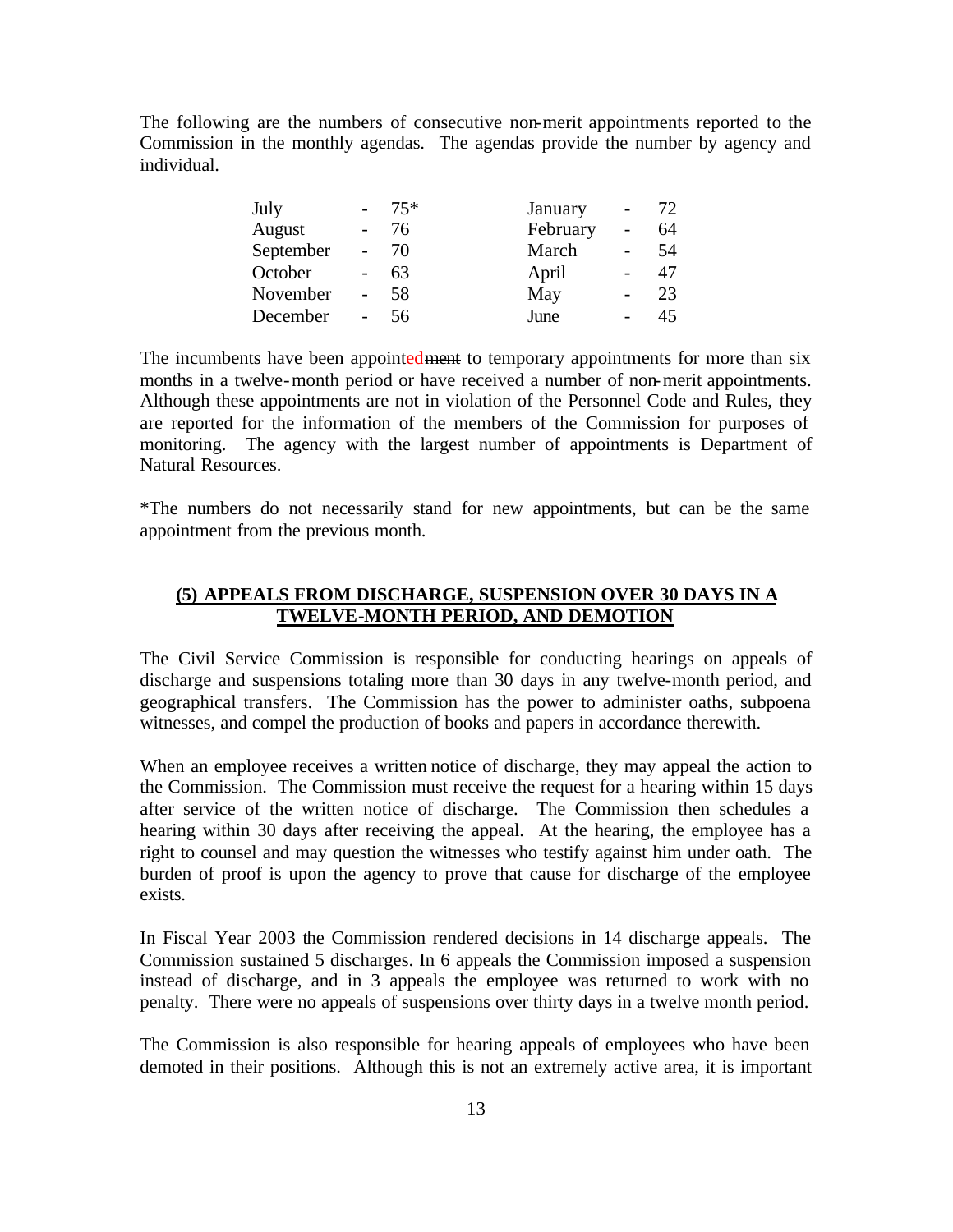The following are the numbers of consecutive non-merit appointments reported to the Commission in the monthly agendas. The agendas provide the number by agency and individual.

| July      | $-75*$ | January  | $\overline{\phantom{0}}$ | 72 |
|-----------|--------|----------|--------------------------|----|
| August    | 76     | February |                          | 64 |
| September | 70     | March    |                          | 54 |
| October   | 63     | April    |                          | 47 |
| November  | 58     | May      |                          | 23 |
| December  | 56     | June     |                          | 45 |

The incumbents have been appointedment to temporary appointments for more than six months in a twelve-month period or have received a number of non-merit appointments. Although these appointments are not in violation of the Personnel Code and Rules, they are reported for the information of the members of the Commission for purposes of monitoring. The agency with the largest number of appointments is Department of Natural Resources.

\*The numbers do not necessarily stand for new appointments, but can be the same appointment from the previous month.

# **(5) APPEALS FROM DISCHARGE, SUSPENSION OVER 30 DAYS IN A TWELVE-MONTH PERIOD, AND DEMOTION**

The Civil Service Commission is responsible for conducting hearings on appeals of discharge and suspensions totaling more than 30 days in any twelve-month period, and geographical transfers. The Commission has the power to administer oaths, subpoena witnesses, and compel the production of books and papers in accordance therewith.

When an employee receives a written notice of discharge, they may appeal the action to the Commission. The Commission must receive the request for a hearing within 15 days after service of the written notice of discharge. The Commission then schedules a hearing within 30 days after receiving the appeal. At the hearing, the employee has a right to counsel and may question the witnesses who testify against him under oath. The burden of proof is upon the agency to prove that cause for discharge of the employee exists.

In Fiscal Year 2003 the Commission rendered decisions in 14 discharge appeals. The Commission sustained 5 discharges. In 6 appeals the Commission imposed a suspension instead of discharge, and in 3 appeals the employee was returned to work with no penalty. There were no appeals of suspensions over thirty days in a twelve month period.

The Commission is also responsible for hearing appeals of employees who have been demoted in their positions. Although this is not an extremely active area, it is important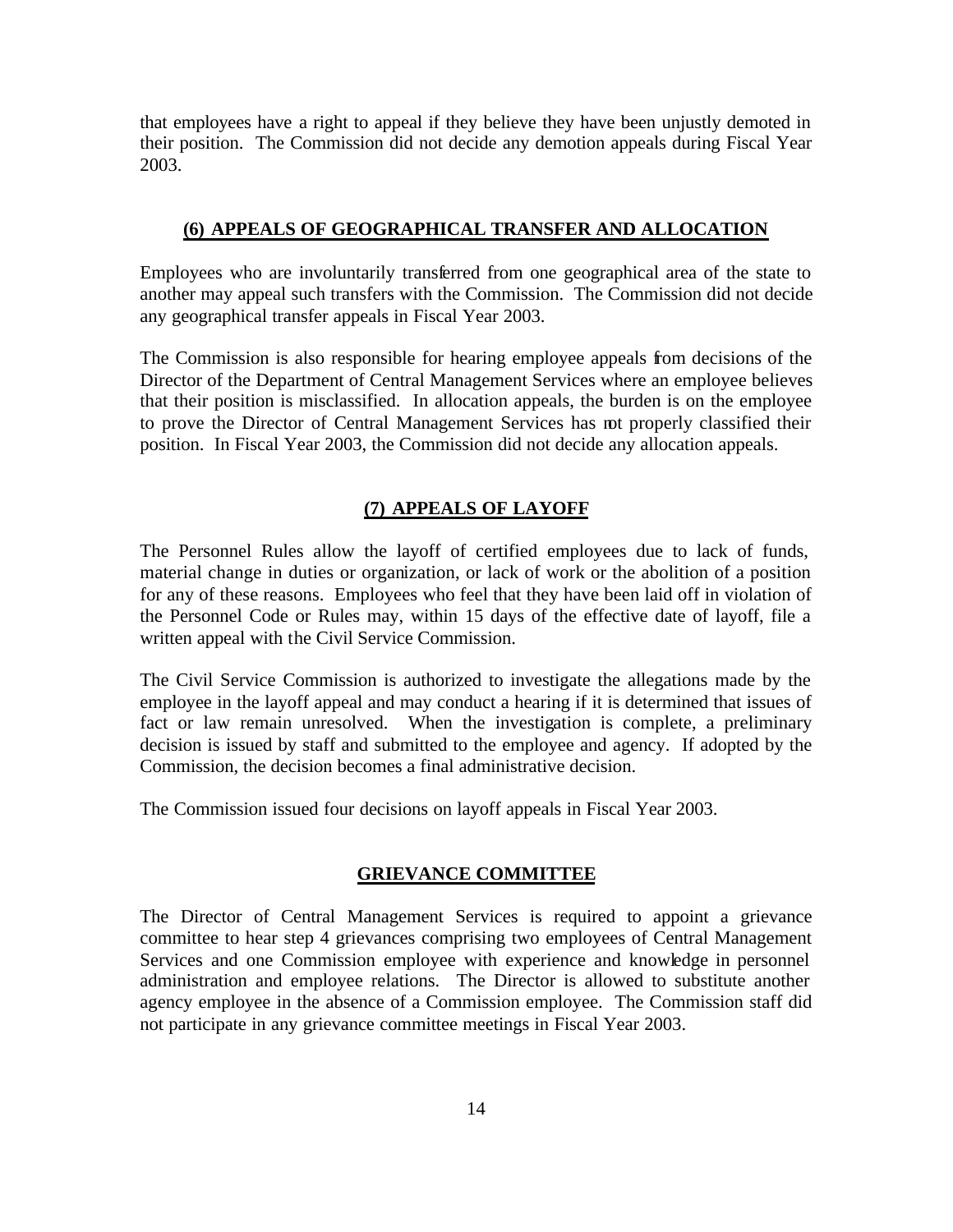that employees have a right to appeal if they believe they have been unjustly demoted in their position. The Commission did not decide any demotion appeals during Fiscal Year 2003.

### **(6) APPEALS OF GEOGRAPHICAL TRANSFER AND ALLOCATION**

Employees who are involuntarily transferred from one geographical area of the state to another may appeal such transfers with the Commission. The Commission did not decide any geographical transfer appeals in Fiscal Year 2003.

The Commission is also responsible for hearing employee appeals from decisions of the Director of the Department of Central Management Services where an employee believes that their position is misclassified. In allocation appeals, the burden is on the employee to prove the Director of Central Management Services has not properly classified their position. In Fiscal Year 2003, the Commission did not decide any allocation appeals.

### **(7) APPEALS OF LAYOFF**

The Personnel Rules allow the layoff of certified employees due to lack of funds, material change in duties or organization, or lack of work or the abolition of a position for any of these reasons. Employees who feel that they have been laid off in violation of the Personnel Code or Rules may, within 15 days of the effective date of layoff, file a written appeal with the Civil Service Commission.

The Civil Service Commission is authorized to investigate the allegations made by the employee in the layoff appeal and may conduct a hearing if it is determined that issues of fact or law remain unresolved. When the investigation is complete, a preliminary decision is issued by staff and submitted to the employee and agency. If adopted by the Commission, the decision becomes a final administrative decision.

The Commission issued four decisions on layoff appeals in Fiscal Year 2003.

### **GRIEVANCE COMMITTEE**

The Director of Central Management Services is required to appoint a grievance committee to hear step 4 grievances comprising two employees of Central Management Services and one Commission employee with experience and knowledge in personnel administration and employee relations. The Director is allowed to substitute another agency employee in the absence of a Commission employee. The Commission staff did not participate in any grievance committee meetings in Fiscal Year 2003.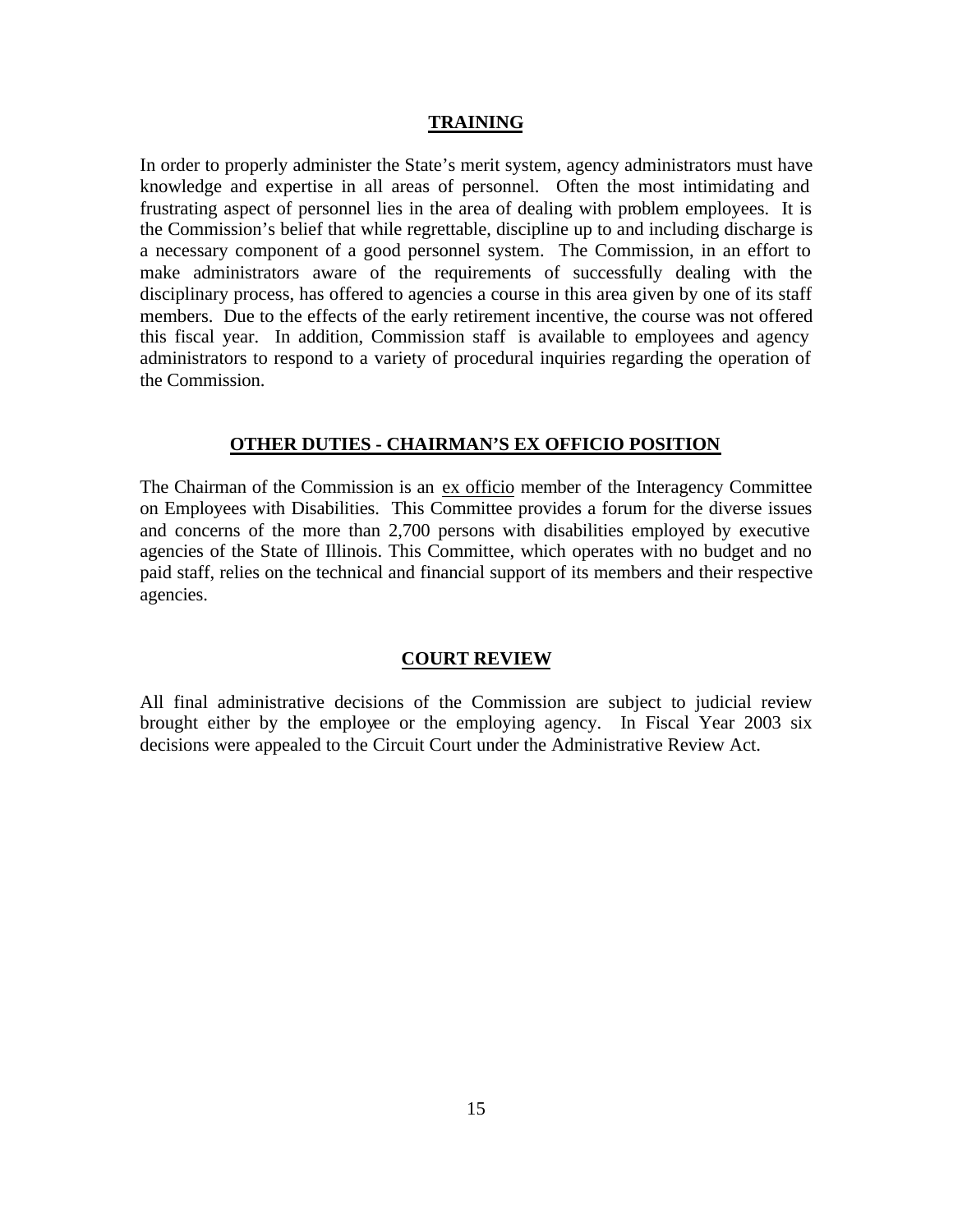### **TRAINING**

In order to properly administer the State's merit system, agency administrators must have knowledge and expertise in all areas of personnel. Often the most intimidating and frustrating aspect of personnel lies in the area of dealing with problem employees. It is the Commission's belief that while regrettable, discipline up to and including discharge is a necessary component of a good personnel system. The Commission, in an effort to make administrators aware of the requirements of successfully dealing with the disciplinary process, has offered to agencies a course in this area given by one of its staff members. Due to the effects of the early retirement incentive, the course was not offered this fiscal year. In addition, Commission staff is available to employees and agency administrators to respond to a variety of procedural inquiries regarding the operation of the Commission.

### **OTHER DUTIES - CHAIRMAN'S EX OFFICIO POSITION**

The Chairman of the Commission is an ex officio member of the Interagency Committee on Employees with Disabilities. This Committee provides a forum for the diverse issues and concerns of the more than 2,700 persons with disabilities employed by executive agencies of the State of Illinois. This Committee, which operates with no budget and no paid staff, relies on the technical and financial support of its members and their respective agencies.

### **COURT REVIEW**

All final administrative decisions of the Commission are subject to judicial review brought either by the employee or the employing agency. In Fiscal Year 2003 six decisions were appealed to the Circuit Court under the Administrative Review Act.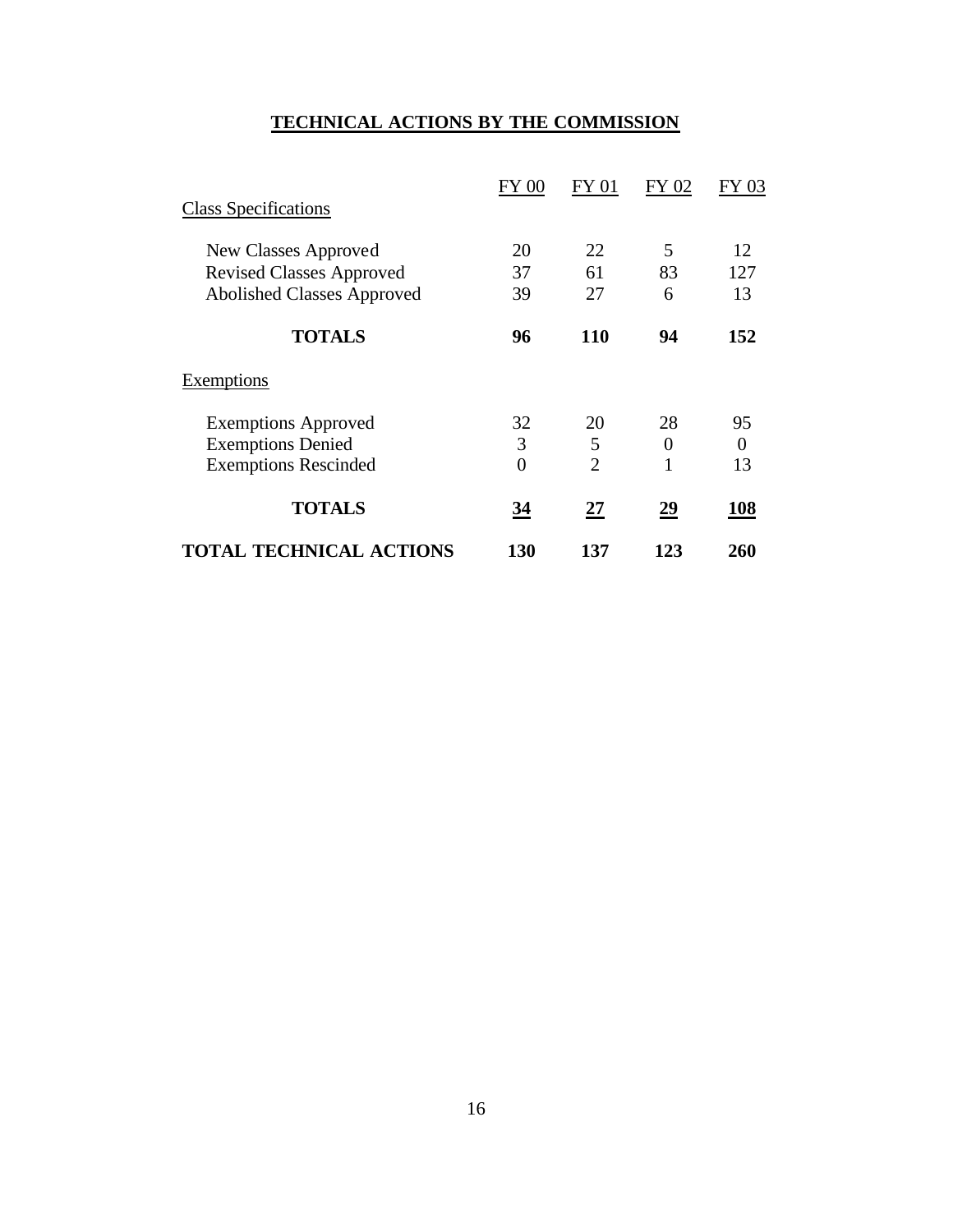# **TECHNICAL ACTIONS BY THE COMMISSION**

|                                   | FY 00    | FY 01          | FY 02          | FY 03          |
|-----------------------------------|----------|----------------|----------------|----------------|
| <b>Class Specifications</b>       |          |                |                |                |
| New Classes Approved              | 20       | 22             | 5              | 12             |
| <b>Revised Classes Approved</b>   | 37       | 61             | 83             | 127            |
| <b>Abolished Classes Approved</b> | 39       | 27             | 6              | 13             |
| <b>TOTALS</b>                     | 96       | <b>110</b>     | 94             | 152            |
| Exemptions                        |          |                |                |                |
| <b>Exemptions Approved</b>        | 32       | 20             | 28             | 95             |
| <b>Exemptions Denied</b>          | 3        | 5              | $\overline{0}$ | $\overline{0}$ |
| <b>Exemptions Rescinded</b>       | $\theta$ | $\overline{2}$ | 1              | 13             |
| <b>TOTALS</b>                     | 34       | 27             | 29             | 108            |
| <b>TOTAL TECHNICAL ACTIONS</b>    | 130      | 137            | 123            | 260            |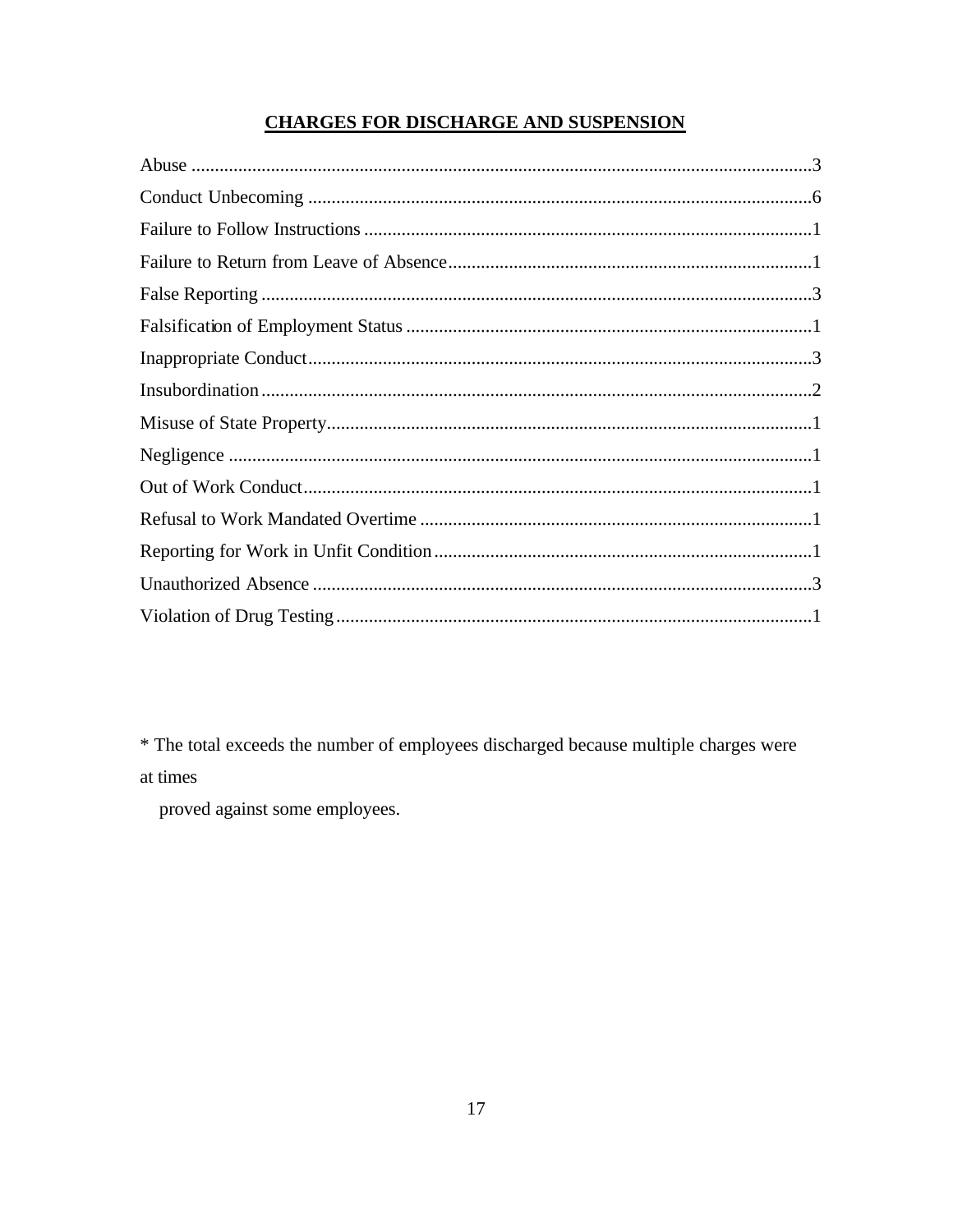# **CHARGES FOR DISCHARGE AND SUSPENSION**

\* The total exceeds the number of employees discharged because multiple charges were at times

proved against some employees.